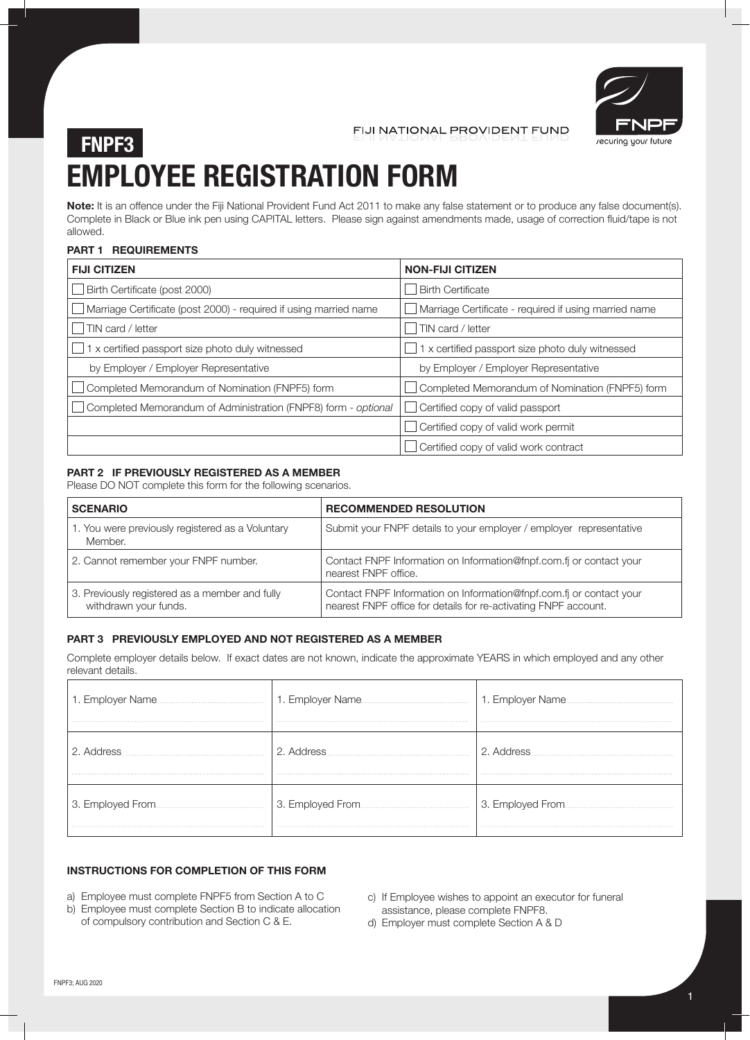

FIJI NATIONAL PROVIDENT FUND

# **EMPLOYEE REGISTRATION FORM FNPF3**

**Note:** It is an offence under the Fiji National Provident Fund Act 2011 to make any false statement or to produce any false document(s). Complete in Black or Blue ink pen using CAPITAL letters. Please sign against amendments made, usage of correction fluid/tape is not allowed.

### **PART 1 REQUIREMENTS**

| <b>FIJI CITIZEN</b>                                               | <b>NON-FIJI CITIZEN</b>                               |
|-------------------------------------------------------------------|-------------------------------------------------------|
| Birth Certificate (post 2000)                                     | <b>Birth Certificate</b>                              |
| Marriage Certificate (post 2000) - required if using married name | Marriage Certificate - required if using married name |
| TIN card / letter<br>, J'                                         | TIN card / letter                                     |
| 1 x certified passport size photo duly witnessed                  | 1 x certified passport size photo duly witnessed      |
| by Employer / Employer Representative                             | by Employer / Employer Representative                 |
| Completed Memorandum of Nomination (FNPF5) form                   | Completed Memorandum of Nomination (FNPF5) form       |
| Completed Memorandum of Administration (FNPF8) form - optional    | Certified copy of valid passport                      |
|                                                                   | Certified copy of valid work permit                   |
|                                                                   | Certified copy of valid work contract                 |

### **PART 2 IF PREVIOUSLY REGISTERED AS A MEMBER**

Please DO NOT complete this form for the following scenarios.

| <b>SCENARIO</b>                                                         | <b>RECOMMENDED RESOLUTION</b>                                                                                                          |
|-------------------------------------------------------------------------|----------------------------------------------------------------------------------------------------------------------------------------|
| 1. You were previously registered as a Voluntary<br>Member.             | Submit your FNPF details to your employer / employer representative                                                                    |
| 2. Cannot remember your FNPF number.                                    | Contact FNPF Information on Information@fnpf.com.fi or contact your<br>nearest FNPF office.                                            |
| 3. Previously registered as a member and fully<br>withdrawn your funds. | Contact FNPF Information on Information@fnpf.com.fi or contact your<br>nearest FNPF office for details for re-activating FNPF account. |

#### **PART 3 PREVIOUSLY EMPLOYED AND NOT REGISTERED AS A MEMBER**

Complete employer details below. If exact dates are not known, indicate the approximate YEARS in which employed and any other relevant details.

| 1. Employer Name. | 1. Employer Name  | 1. Employer Name. |
|-------------------|-------------------|-------------------|
|                   | 2. Address        | 2. Address        |
|                   | 3. Employed From. |                   |

### **INSTRUCTIONS FOR COMPLETION OF THIS FORM**

- a) Employee must complete FNPF5 from Section A to C
- b) Employee must complete Section B to indicate allocation of compulsory contribution and Section C & E.
- c) If Employee wishes to appoint an executor for funeral assistance, please complete FNPF8.
- d) Employer must complete Section A & D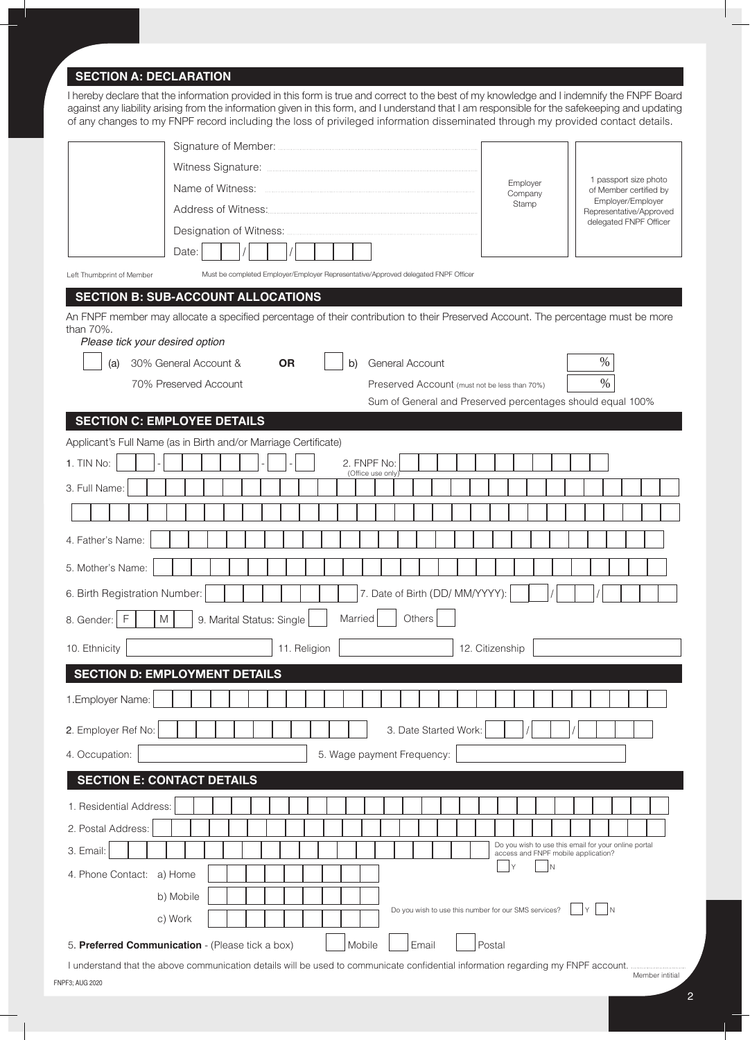## **SECTION A: DECLARATION**

I hereby declare that the information provided in this form is true and correct to the best of my knowledge and I indemnify the FNPF Board against any liability arising from the information given in this form, and I understand that I am responsible for the safekeeping and updating of any changes to my FNPF record including the loss of privileged information disseminated through my provided contact details.

| Name of Witness:                                                                                                                                                                 | Employer<br>Company                 | 1 passport size photo<br>of Member certified by                        |
|----------------------------------------------------------------------------------------------------------------------------------------------------------------------------------|-------------------------------------|------------------------------------------------------------------------|
| Address of Witness:                                                                                                                                                              | Stamp                               | Employer/Employer<br>Representative/Approved<br>delegated FNPF Officer |
| Designation of Witness:                                                                                                                                                          |                                     |                                                                        |
| Date:                                                                                                                                                                            |                                     |                                                                        |
| Must be completed Employer/Employer Representative/Approved delegated FNPF Officer<br>Left Thumbprint of Member                                                                  |                                     |                                                                        |
| <b>SECTION B: SUB-ACCOUNT ALLOCATIONS</b>                                                                                                                                        |                                     |                                                                        |
| An FNPF member may allocate a specified percentage of their contribution to their Preserved Account. The percentage must be more<br>than 70%.<br>Please tick your desired option |                                     |                                                                        |
| 30% General Account &<br>General Account<br><b>OR</b><br>(a)<br>b)                                                                                                               |                                     | $\%$                                                                   |
| 70% Preserved Account<br>Preserved Account (must not be less than 70%)                                                                                                           |                                     | $\%$                                                                   |
| Sum of General and Preserved percentages should equal 100%                                                                                                                       |                                     |                                                                        |
| <b>SECTION C: EMPLOYEE DETAILS</b>                                                                                                                                               |                                     |                                                                        |
| Applicant's Full Name (as in Birth and/or Marriage Certificate)<br>1. TIN No:<br>2. FNPF No:                                                                                     |                                     |                                                                        |
| (Office use only)                                                                                                                                                                |                                     |                                                                        |
| 3. Full Name:                                                                                                                                                                    |                                     |                                                                        |
|                                                                                                                                                                                  |                                     |                                                                        |
| 4. Father's Name:                                                                                                                                                                |                                     |                                                                        |
| 5. Mother's Name:                                                                                                                                                                |                                     |                                                                        |
| 7. Date of Birth (DD/ MM/YYYY):<br>6. Birth Registration Number:                                                                                                                 |                                     |                                                                        |
| Others<br>$\mathsf{M}% _{T}=\mathsf{M}_{T}\!\left( a,b\right) ,\ \mathsf{M}_{T}=\mathsf{M}_{T}\!\left( a,b\right) ,$<br>Married<br>F<br>9. Marital Status: Single<br>8. Gender:  |                                     |                                                                        |
| 10. Ethnicity<br>11. Religion                                                                                                                                                    | 12. Citizenship                     |                                                                        |
| <b>SECTION D: EMPLOYMENT DETAILS</b>                                                                                                                                             |                                     |                                                                        |
| 1. Employer Name:                                                                                                                                                                |                                     |                                                                        |
| 3. Date Started Work:<br>2. Employer Ref No:                                                                                                                                     |                                     |                                                                        |
| 5. Wage payment Frequency:<br>4. Occupation:                                                                                                                                     |                                     |                                                                        |
| <b>SECTION E: CONTACT DETAILS</b>                                                                                                                                                |                                     |                                                                        |
| 1. Residential Address:                                                                                                                                                          |                                     |                                                                        |
| 2. Postal Address:                                                                                                                                                               |                                     |                                                                        |
| 3. Email:                                                                                                                                                                        | access and FNPF mobile application? | Do you wish to use this email for your online portal                   |
| 4. Phone Contact:<br>a) Home                                                                                                                                                     | lΝ                                  |                                                                        |
| b) Mobile                                                                                                                                                                        |                                     |                                                                        |
| Do you wish to use this number for our SMS services?<br>c) Work                                                                                                                  |                                     | İΝ                                                                     |
| Email<br>5. Preferred Communication - (Please tick a box)<br>Mobile                                                                                                              | Postal                              |                                                                        |

FNPF3; AUG 2020 I understand that the above communication details will be used to communicate confidential information regarding my FNPF account. Member intitial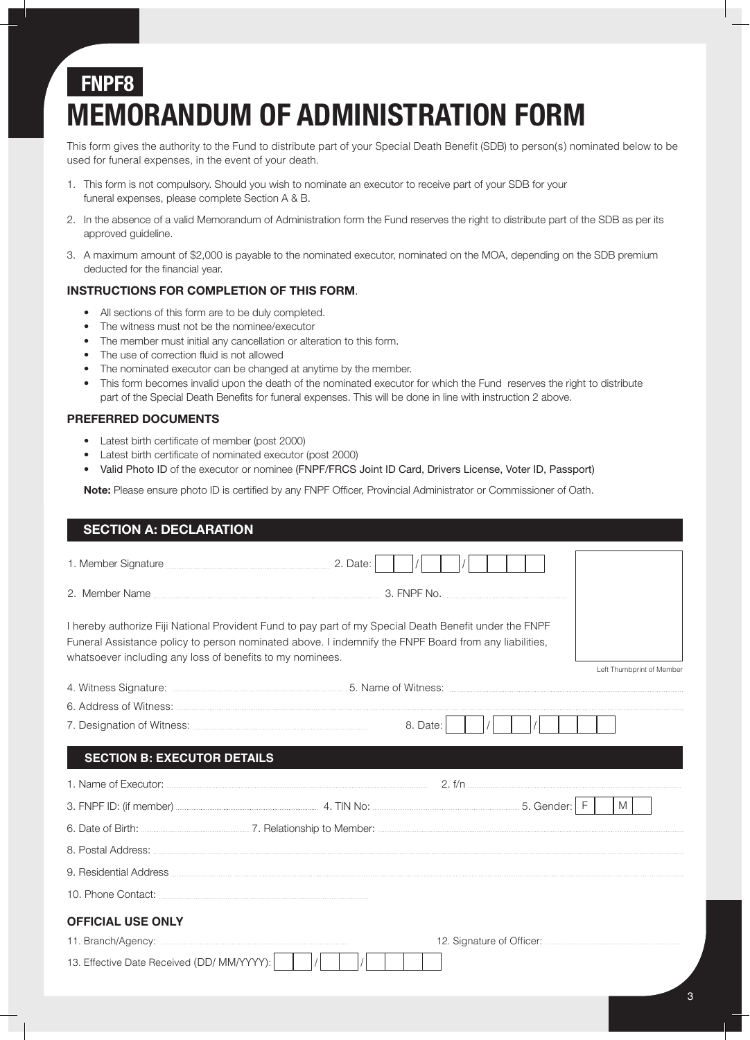# **FNPF8 MEMORANDUM OF ADMINISTRATION FORM**

This form gives the authority to the Fund to distribute part of your Special Death Benefit (SDB) to person(s) nominated below to be used for funeral expenses, in the event of your death.

- 1. This form is not compulsory. Should you wish to nominate an executor to receive part of your SDB for your funeral expenses, please complete Section A & B.
- 2. In the absence of a valid Memorandum of Administration form the Fund reserves the right to distribute part of the SDB as per its approved guideline.
- 3. A maximum amount of \$2,000 is payable to the nominated executor, nominated on the MOA, depending on the SDB premium deducted for the financial year.

### **INSTRUCTIONS FOR COMPLETION OF THIS FORM**.

- All sections of this form are to be duly completed.
- The witness must not be the nominee/executor
- The member must initial any cancellation or alteration to this form.
- The use of correction fluid is not allowed
- The nominated executor can be changed at anytime by the member.
- This form becomes invalid upon the death of the nominated executor for which the Fund reserves the right to distribute part of the Special Death Benefits for funeral expenses. This will be done in line with instruction 2 above.

### **PREFERRED DOCUMENTS**

- Latest birth certificate of member (post 2000)
- Latest birth certificate of nominated executor (post 2000)
- Valid Photo ID of the executor or nominee (FNPF/FRCS Joint ID Card, Drivers License, Voter ID, Passport)

**Note:** Please ensure photo ID is certified by any FNPF Officer, Provincial Administrator or Commissioner of Oath.

| <b>SECTION A: DECLARATION</b>                                              |                                                                                                                                                                                                                 |                           |
|----------------------------------------------------------------------------|-----------------------------------------------------------------------------------------------------------------------------------------------------------------------------------------------------------------|---------------------------|
| 1. Member Signature <b>Manual According to According Contract</b> 2. Date: |                                                                                                                                                                                                                 |                           |
|                                                                            |                                                                                                                                                                                                                 |                           |
| whatsoever including any loss of benefits to my nominees.                  | I hereby authorize Fiji National Provident Fund to pay part of my Special Death Benefit under the FNPF<br>Funeral Assistance policy to person nominated above. I indemnify the FNPF Board from any liabilities, | Left Thumbprint of Member |
|                                                                            | 4. Witness Signature: <b>Market A. Witness Signature:</b> Market A. Witness: <b>Market A. Witness Signature:</b> Witness: 2004                                                                                  |                           |
|                                                                            |                                                                                                                                                                                                                 |                           |
|                                                                            | 8. Date:                                                                                                                                                                                                        |                           |
| <b>SECTION B: EXECUTOR DETAILS</b>                                         |                                                                                                                                                                                                                 |                           |
|                                                                            |                                                                                                                                                                                                                 | 2. f/n                    |
|                                                                            |                                                                                                                                                                                                                 | M I                       |
|                                                                            |                                                                                                                                                                                                                 |                           |
|                                                                            |                                                                                                                                                                                                                 |                           |
|                                                                            |                                                                                                                                                                                                                 |                           |
|                                                                            |                                                                                                                                                                                                                 |                           |
| <b>OFFICIAL USE ONLY</b>                                                   |                                                                                                                                                                                                                 |                           |
|                                                                            |                                                                                                                                                                                                                 |                           |
| 13. Effective Date Received (DD/ MM/YYYY):                                 |                                                                                                                                                                                                                 |                           |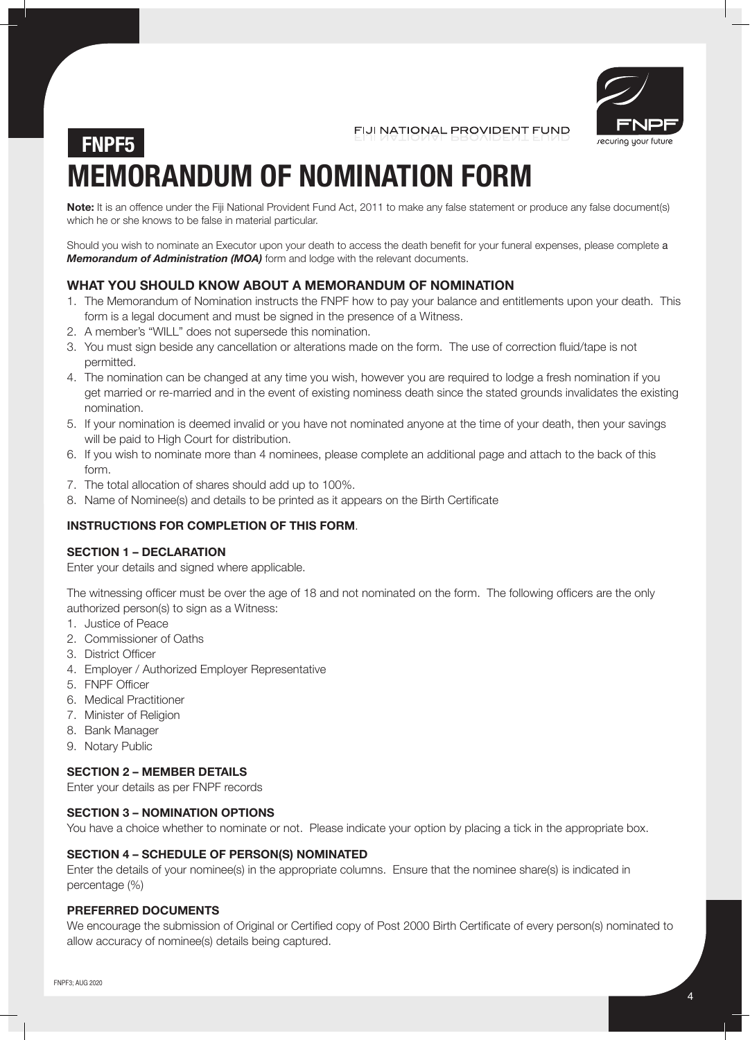

FIJI NATIONAL PROVIDENT FUND

# **MEMORANDUM OF NOMINATION FORM FNPF5**

**Note:** It is an offence under the Fiji National Provident Fund Act, 2011 to make any false statement or produce any false document(s) which he or she knows to be false in material particular.

Should you wish to nominate an Executor upon your death to access the death benefit for your funeral expenses, please complete a *Memorandum of Administration (MOA)* form and lodge with the relevant documents.

### **WHAT YOU SHOULD KNOW ABOUT A MEMORANDUM OF NOMINATION**

- 1. The Memorandum of Nomination instructs the FNPF how to pay your balance and entitlements upon your death. This form is a legal document and must be signed in the presence of a Witness.
- 2. A member's "WILL" does not supersede this nomination.
- 3. You must sign beside any cancellation or alterations made on the form. The use of correction fluid/tape is not permitted.
- 4. The nomination can be changed at any time you wish, however you are required to lodge a fresh nomination if you get married or re-married and in the event of existing nominess death since the stated grounds invalidates the existing nomination.
- 5. If your nomination is deemed invalid or you have not nominated anyone at the time of your death, then your savings will be paid to High Court for distribution.
- 6. If you wish to nominate more than 4 nominees, please complete an additional page and attach to the back of this form.
- 7. The total allocation of shares should add up to 100%.
- 8. Name of Nominee(s) and details to be printed as it appears on the Birth Certificate

### **INSTRUCTIONS FOR COMPLETION OF THIS FORM**.

### **SECTION 1 – DECLARATION**

Enter your details and signed where applicable.

The witnessing officer must be over the age of 18 and not nominated on the form. The following officers are the only authorized person(s) to sign as a Witness:

- 1. Justice of Peace
- 2. Commissioner of Oaths
- 3. District Officer
- 4. Employer / Authorized Employer Representative
- 5. FNPF Officer
- 6. Medical Practitioner
- 7. Minister of Religion
- 8. Bank Manager
- 9. Notary Public

### **SECTION 2 – MEMBER DETAILS**

Enter your details as per FNPF records

### **SECTION 3 – NOMINATION OPTIONS**

You have a choice whether to nominate or not. Please indicate your option by placing a tick in the appropriate box.

### **SECTION 4 – SCHEDULE OF PERSON(S) NOMINATED**

Enter the details of your nominee(s) in the appropriate columns. Ensure that the nominee share(s) is indicated in percentage (%)

### **PREFERRED DOCUMENTS**

We encourage the submission of Original or Certified copy of Post 2000 Birth Certificate of every person(s) nominated to allow accuracy of nominee(s) details being captured.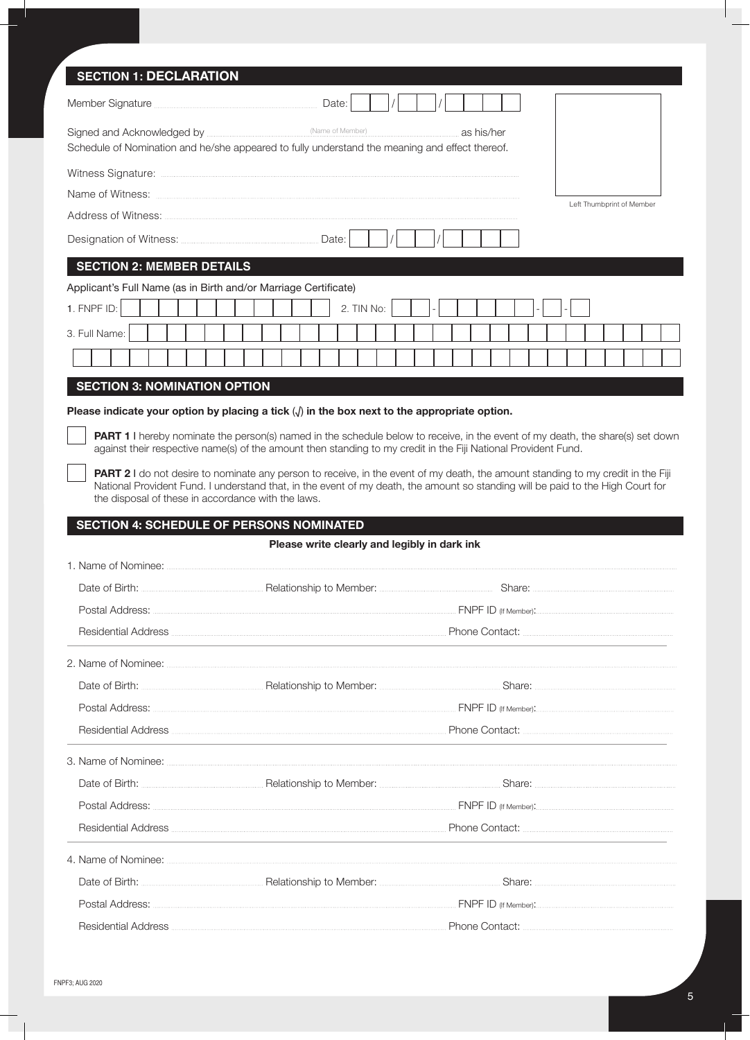| <b>SECTION 1: DECLARATION</b>                                   |                                                                                                                                                                                                                                                               |  |
|-----------------------------------------------------------------|---------------------------------------------------------------------------------------------------------------------------------------------------------------------------------------------------------------------------------------------------------------|--|
| Member Signature <b>Marine According to the Signature</b> Date: |                                                                                                                                                                                                                                                               |  |
|                                                                 | as his/her<br>Schedule of Nomination and he/she appeared to fully understand the meaning and effect thereof.                                                                                                                                                  |  |
|                                                                 |                                                                                                                                                                                                                                                               |  |
|                                                                 | Left Thumborint of Member                                                                                                                                                                                                                                     |  |
|                                                                 |                                                                                                                                                                                                                                                               |  |
|                                                                 |                                                                                                                                                                                                                                                               |  |
| <b>SECTION 2: MEMBER DETAILS</b>                                |                                                                                                                                                                                                                                                               |  |
| Applicant's Full Name (as in Birth and/or Marriage Certificate) |                                                                                                                                                                                                                                                               |  |
| 1. FNPF ID:                                                     | 2. TIN No:                                                                                                                                                                                                                                                    |  |
| 3. Full Name:                                                   |                                                                                                                                                                                                                                                               |  |
|                                                                 |                                                                                                                                                                                                                                                               |  |
| <b>SECTION 3: NOMINATION OPTION</b>                             |                                                                                                                                                                                                                                                               |  |
|                                                                 | Please indicate your option by placing a tick $\langle \rangle$ in the box next to the appropriate option.                                                                                                                                                    |  |
|                                                                 | PART 1 I hereby nominate the person(s) named in the schedule below to receive, in the event of my death, the share(s) set down<br>against their respective name(s) of the amount then standing to my credit in the Fiji National Provident Fund.              |  |
|                                                                 | <b>PART 2</b> I do not desire to nominate any person to receive, in the event of my death, the amount standing to my credit in the Fiji                                                                                                                       |  |
| the disposal of these in accordance with the laws.              | National Provident Fund. I understand that, in the event of my death, the amount so standing will be paid to the High Court for                                                                                                                               |  |
| <b>SECTION 4: SCHEDULE OF PERSONS NOMINATED</b>                 |                                                                                                                                                                                                                                                               |  |
|                                                                 | Please write clearly and legibly in dark ink                                                                                                                                                                                                                  |  |
| 1. Name of Nominee:                                             |                                                                                                                                                                                                                                                               |  |
|                                                                 | Date of Birth: <b>Maria According to Member: According to Member:</b> Share: <b>Share: According to Member:</b> 2014                                                                                                                                          |  |
|                                                                 |                                                                                                                                                                                                                                                               |  |
|                                                                 | Residential Address <b>Contract Contract Contract Contract Contract</b> Phone Contact:                                                                                                                                                                        |  |
|                                                                 |                                                                                                                                                                                                                                                               |  |
|                                                                 |                                                                                                                                                                                                                                                               |  |
|                                                                 |                                                                                                                                                                                                                                                               |  |
|                                                                 | Residential Address <b>Exercise Contact:</b> Phone Contact: <b>Contact:</b> 2014                                                                                                                                                                              |  |
|                                                                 |                                                                                                                                                                                                                                                               |  |
|                                                                 |                                                                                                                                                                                                                                                               |  |
|                                                                 |                                                                                                                                                                                                                                                               |  |
|                                                                 | Residential Address <b>Executive Contact:</b> Phone Contact: <b>Contact:</b> Phone Contact: <b>Contact:</b> Phone Contact: <b>CONSIDENTIAL PHONE CONTACT:</b> Phone Contact: <b>CONSIDENTIAL PHONE CONTACT:</b> Phone Contact: <b>CONSIDENTIAL PHONE CONT</b> |  |
|                                                                 |                                                                                                                                                                                                                                                               |  |
|                                                                 |                                                                                                                                                                                                                                                               |  |
|                                                                 |                                                                                                                                                                                                                                                               |  |
|                                                                 | Residential Address <b>Executive Contract:</b> Phone Contact: <b>Address Contract:</b> Phone Contact:                                                                                                                                                         |  |

Ш